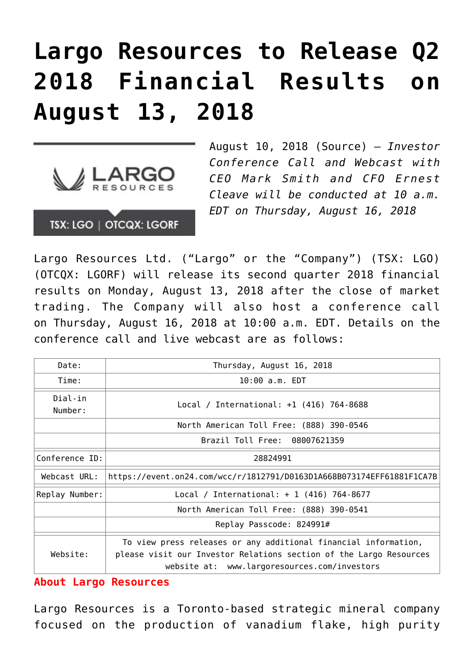## **[Largo Resources to Release Q2](https://investorintel.com/markets/technology-metals/technology-metals-news/largo-resources-release-q2-2018-financial-results-august-13-2018/) [2018 Financial Results on](https://investorintel.com/markets/technology-metals/technology-metals-news/largo-resources-release-q2-2018-financial-results-august-13-2018/) [August 13, 2018](https://investorintel.com/markets/technology-metals/technology-metals-news/largo-resources-release-q2-2018-financial-results-august-13-2018/)**



TSX: LGO | OTCQX: LGORF

August 10, 2018 ([Source](https://investorintel.com/iintel-members/largo-resources-ltd/)) — *Investor Conference Call and Webcast with CEO Mark Smith and CFO Ernest Cleave will be conducted at 10 a.m. EDT on Thursday, August 16, 2018*

Largo Resources Ltd. ("Largo" or the "Company") (TSX: LGO) (OTCQX: LGORF) will release its second quarter 2018 financial results on Monday, August 13, 2018 after the close of market trading. The Company will also host a conference call on Thursday, August 16, 2018 at 10:00 a.m. EDT. Details on the conference call and live webcast are as follows:

| Date:              | Thursday, August 16, 2018                                                                                                                                                             |
|--------------------|---------------------------------------------------------------------------------------------------------------------------------------------------------------------------------------|
| Time:              | $10:00$ a.m. EDT                                                                                                                                                                      |
| Dial-in<br>Number: | Local / International: $+1$ (416) 764-8688                                                                                                                                            |
|                    | North American Toll Free: (888) 390-0546                                                                                                                                              |
|                    | Brazil Toll Free: 08007621359                                                                                                                                                         |
| Conference ID:     | 28824991                                                                                                                                                                              |
| Webcast URL:       | https://event.on24.com/wcc/r/1812791/D0163D1A668B073174EFF61881F1CA7B                                                                                                                 |
| Replay Number:     | Local / International: $+ 1$ (416) 764-8677                                                                                                                                           |
|                    | North American Toll Free: (888) 390-0541                                                                                                                                              |
|                    | Replay Passcode: 824991#                                                                                                                                                              |
| Website:           | To view press releases or any additional financial information,<br>please visit our Investor Relations section of the Largo Resources<br>website at: www.largoresources.com/investors |

## **About Largo Resources**

Largo Resources is a Toronto-based strategic mineral company focused on the production of vanadium flake, high purity